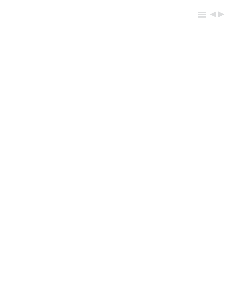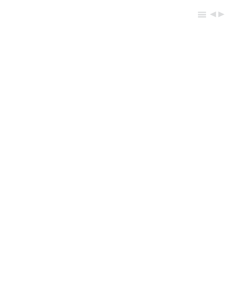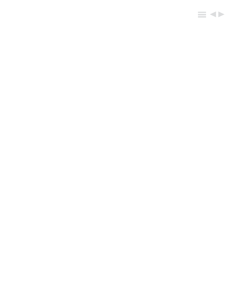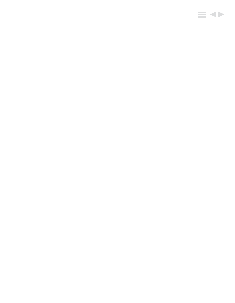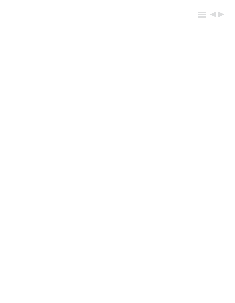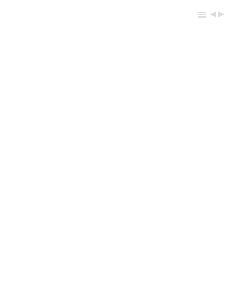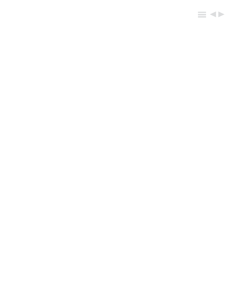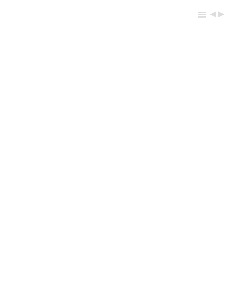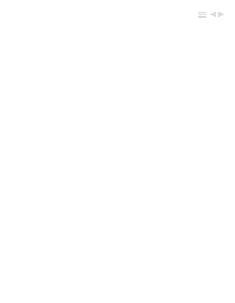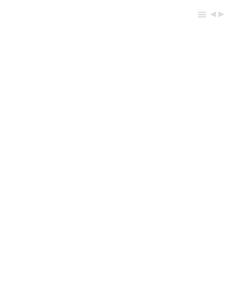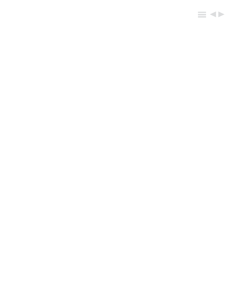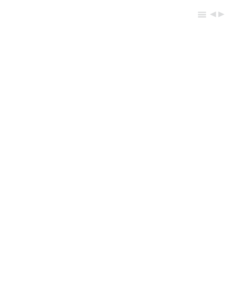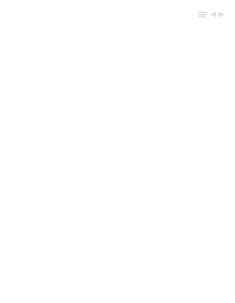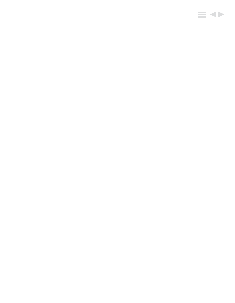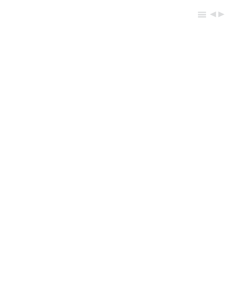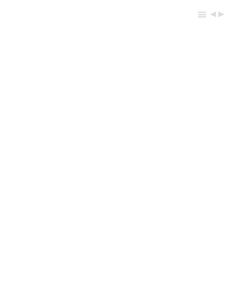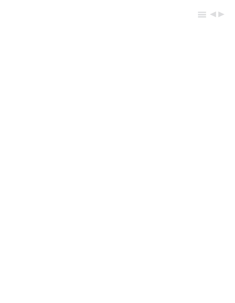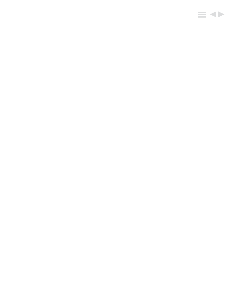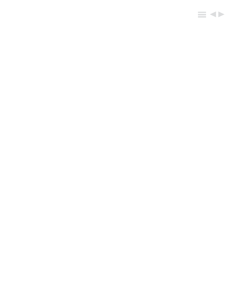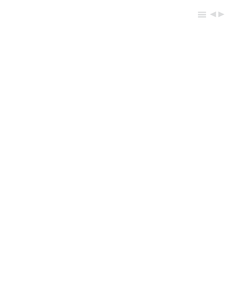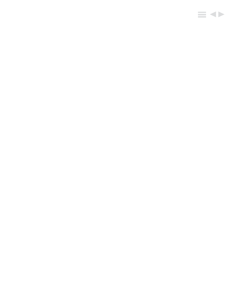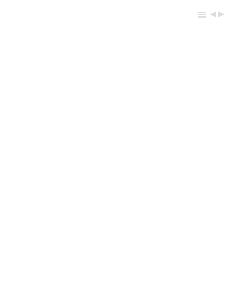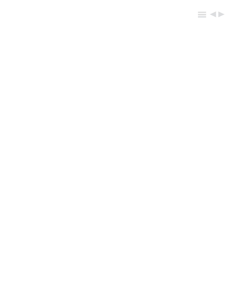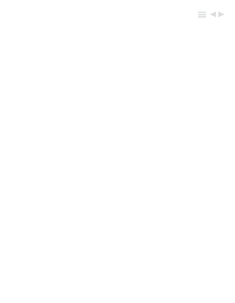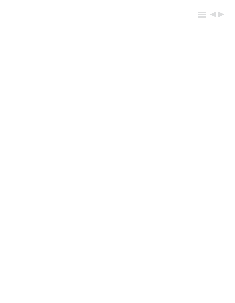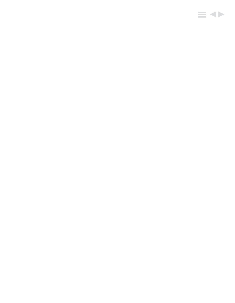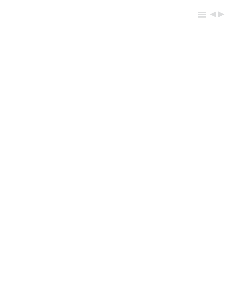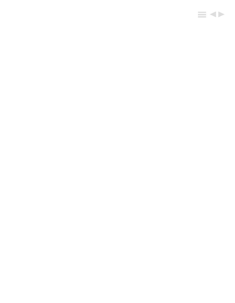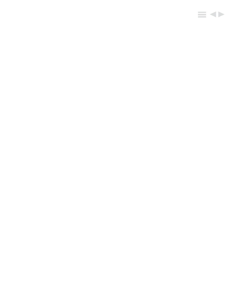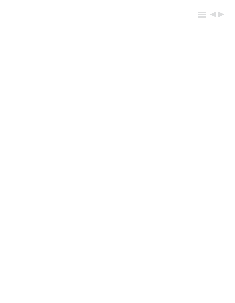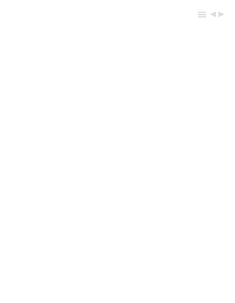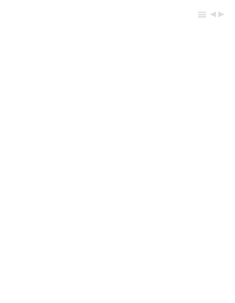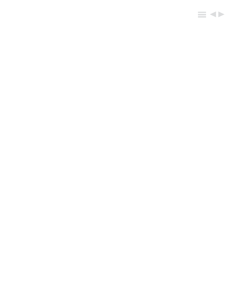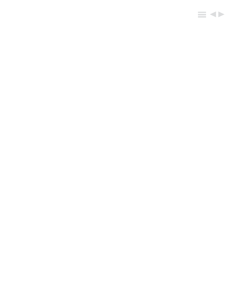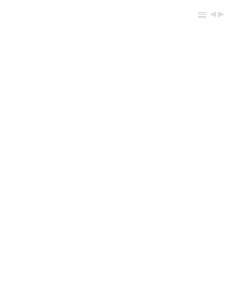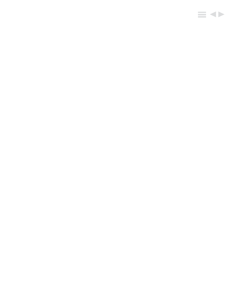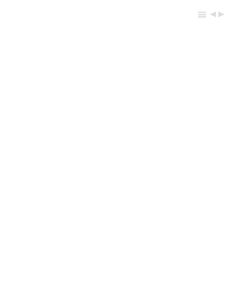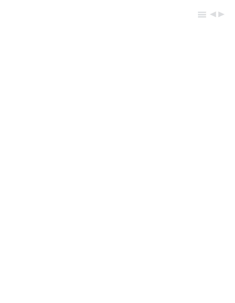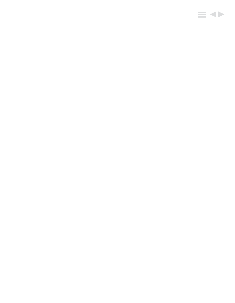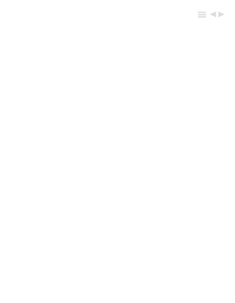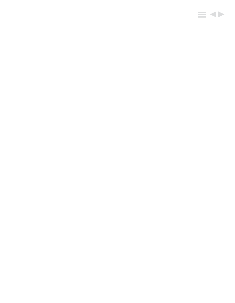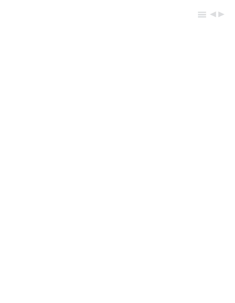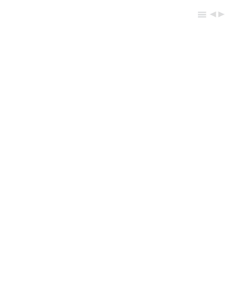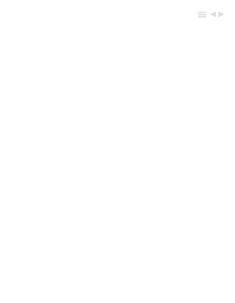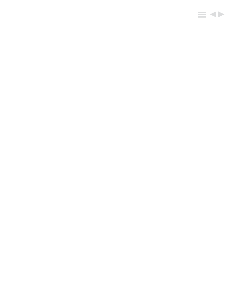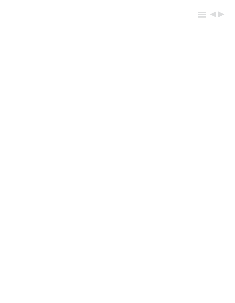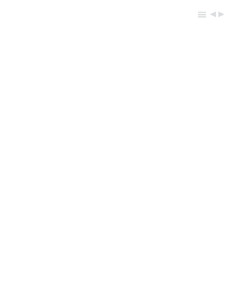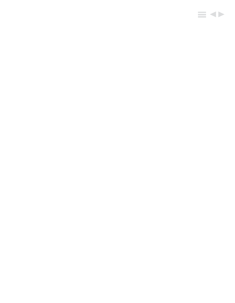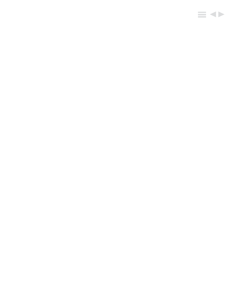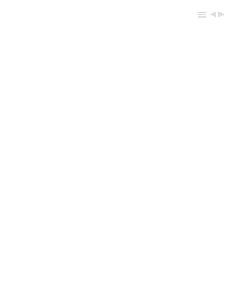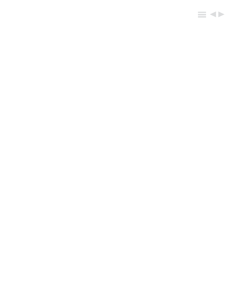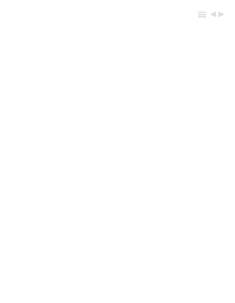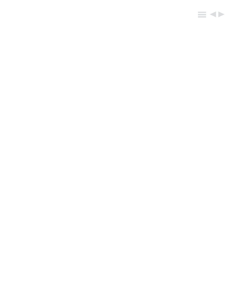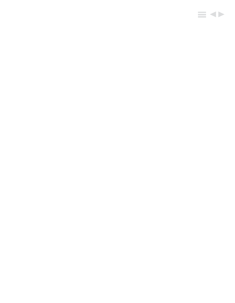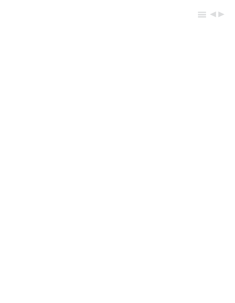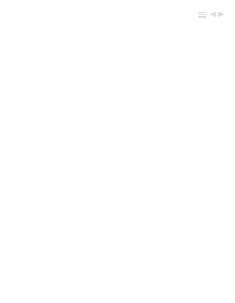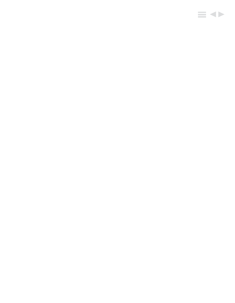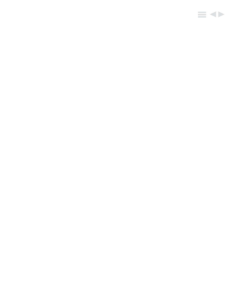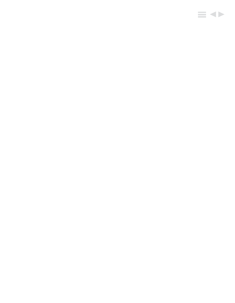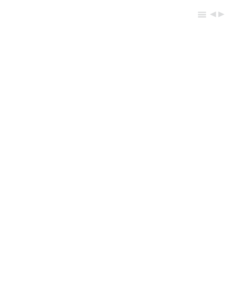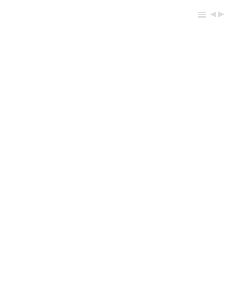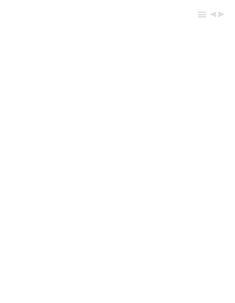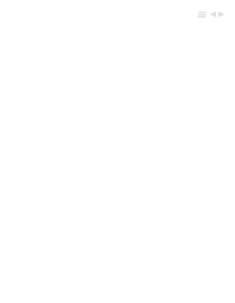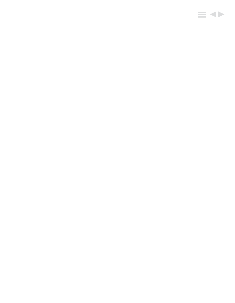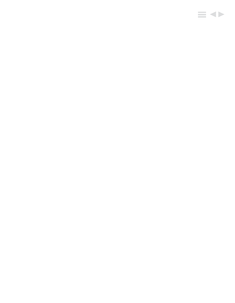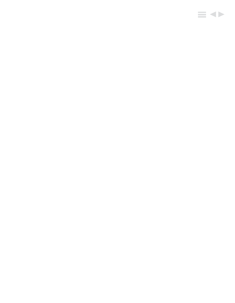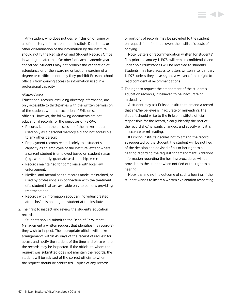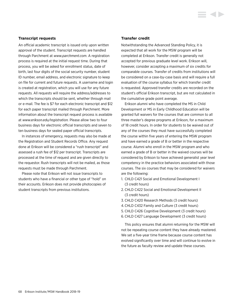#### **Transcript requests**

An official academic transcript is issued only upon written approval of the student. Transcript requests are handled through Parchment at *<www.parchment.com>*. A registration process is required at the initial request time. During that process, you will be asked for enrollment status, date of birth, last four digits of the social security number, student ID number, email address, and electronic signature to keep on file for current and future requests. A username and login is created at registration, which you will use for any future requests. All requests will require the address/addresses to which the transcripts should be sent, whether through mail or e-mail. The fee is \$7 for each electronic transcript and \$12 for each paper transcript mailed through Parchment. More information about the transcript request process is available at *[www.erikson.edu/registration.](www.erikson.edu/registration)* Please allow two to four business days for electronic official transcripts and seven to ten business days for sealed paper official transcripts.

In instances of emergency, requests may also be made at the Registration and Student Records Office. Any request done at Erikson will be considered a "rush transcript" and assessed a rush fee of \$12 per transcript. Transcripts are processed at the time of request and are given directly to the requestor. Rush transcripts will not be mailed, as those requests must be made through Parchment.

Please note that Erikson will not issue transcripts to students who have a financial or other type of "hold" on their accounts. Erikson does not provide photocopies of student transcripts from previous institutions.

#### **Transfer credit**

Notwithstanding the Advanced Standing Policy, it is expected that all work for the MSW program will be completed at Erikson. Transfer credit is generally not accepted for previous graduate level work. Erikson will, however, consider accepting a maximum of six credits for comparable courses. Transfer of credits from institutions will be considered on a case-by-case basis and will require a full evaluation of the course syllabus for which transfer credit is requested. Approved transfer credits are recorded on the student's official Erikson transcript, but are not calculated in the cumulative grade point average.

Erikson alumni who have completed the MS in Child Development or MS in Early Childhood Education will be granted full waivers for the courses that are common to all three master's degree programs at Erikson, for a maximum of 18 credit hours. In order for students to be waived out of any of the courses they must have successfully completed the course within five years of entering the MSW program and have earned a grade of B or better in the respective course. Alumni who enroll in the MSW program and who earned a grade of B or better in the waived courses will be considered by Erikson to have achieved generalist year level competency in the practice behaviors associated with those courses. The six courses that may be considered for waivers are the following:

- 1. CHLD C421 Social and Emotional Development I (3 credit hours)
- 2. CHLD C422 Social and Emotional Development II (3 credit hours)
- 3. CHLD C420 Research Methods (3 credit hours)
- 4.CHLD C432 Family and Culture (3 credit hours)
- 5. CHLD C426 Cognitive Development (3 credit hours)
- 6. CHLD C427 Language Development (3 credit hours)

This policy ensures that alumni returning for the MSW will not be repeating course content they have already mastered. We set a five-year time frame because course content has evolved significantly over time and will continue to evolve in the future as faculty review and update these courses.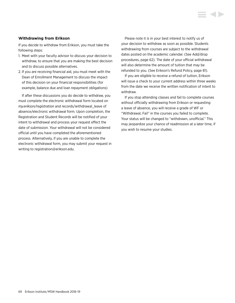#### **Withdrawing from Erikson**

If you decide to withdraw from Erikson, you must take the following steps:

- 1. Meet with your faculty advisor to discuss your decision to withdraw, to ensure that you are making the best decision and to discuss possible alternatives.
- 2. If you are receiving financial aid, you must meet with the Dean of Enrollment Management to discuss the impact of this decision on your financial responsibilities (for example, balance due and loan repayment obligations)

If after these discussions you do decide to withdraw, you must complete the electronic withdrawal form located on *my.erikson/registration* and records/withdrawal\_leave of absence/electronic withdrawal form. Upon completion, the Registration and Student Records will be notified of your intent to withdrawal and process your request effect the date of submission. Your withdrawal will not be considered official until you have completed the aforementioned process. Alternatively, if you are unable to complete the electronic withdrawal form, you may submit your request in writing to [registration@erikson.edu.](mailto:registration%40erikson.edu?subject=)

Please note it is in your best interest to notify us of your decision to withdraw as soon as possible. Students withdrawing from courses are subject to the withdrawal dates posted on the academic calendar. ([See Add/drop](#page-62-0)  [procedures, page 62](#page-62-0)). The date of your official withdrawal will also determine the amount of tuition that may be refunded to you. [\(See Erikson's Refund Policy, page 81](#page-81-0)).

If you are eligible to receive a refund of tuition, Erikson will issue a check to your current address within three weeks from the date we receive the written notification of intent to withdraw.

If you stop attending classes and fail to complete courses without officially withdrawing from Erikson or requesting a leave of absence, you will receive a grade of WF or "Withdrawal, Fail" in the courses you failed to complete. Your status will be changed to "withdrawn, unofficial." This may jeopardize your chance of readmission at a later time, if you wish to resume your studies.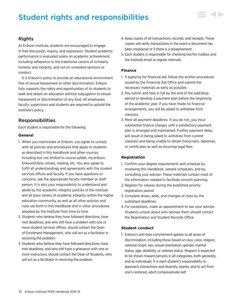# Student rights and responsibilities



# Rights

At Erikson Institute, students are encouraged to engage in free discussion, inquiry, and expression. Student academic performance is evaluated solely on academic achievement, including adherence to the traditional canons of scholarly honesty and integrity, and not on unrelated opinions or conduct.

It is Erikson's policy to provide an educational environment free of sexual harassment or other discrimination. Erikson fully supports the rights and opportunities of its students to seek and obtain an education without subjugation to sexual harassment or discrimination of any kind. All employees, faculty, supervisors and students are required to uphold the Institute's policy.

## Responsibilities

Each student is responsible for the following:

## **General**

- 1. When you matriculate at Erikson, you agree to comply with all policies and procedures that apply to students as described in this Handbook and other sources, including but not limited to course syllabi, my.erikson, EriksonOnline, emails, mailing, etc. You also agree to fulfill all understandings and agreements with the student services offices and faculty. If you have questions or concerns, ask the appropriate faculty member or staff person. It is also your responsibility to understand and abide by the academic integrity policies of the Institute and all basic tenets of academic integrity within the higher education community, as well as all other policies and rules set forth in this Handbook and in other procedures adopted by the Institute from time to time.
- 2. Students who believe they have followed directions, have met deadlines, and who still have a problem with one or more student services offices, should contact the Dean of Enrollment Management, who will act as a facilitator in resolving the problem.
- 3. Students who believe they have followed directions, have met deadlines, and who still have a grievance with one or more instructors, should contact the Dean of Students, who will act as a facilitator in resolving the problem.
- 4. Keep copies of all transactions, records, and receipts. These copies will verify transactions in the event a document has been misplaced or if there is a disagreement.
- 5. Each student is responsible for checking her/his mailbox and the Institute email at regular intervals.

## **Finance**

- 1. If applying for financial aid, follow the written procedures issued by the Financial Aid Office and submit the necessary materials as early as possible.
- 2. Pay tuition and fees in full by the end of the add/drop period or develop a payment plan before the beginning of the academic year. If you have made no financial arrangements, you will be asked to withdraw from class(es).
- 3. Meet all payment deadlines. If you do not, you incur substantial finance charges until a satisfactory payment plan is arranged and maintained. Further payment delay will result in being asked to withdraw from current class(es) and being unable to obtain transcripts, diplomas, or certificates as well as incurring legal fees.

## **Registration**

- 1. Confirm your degree requirements and schedule by reviewing this Handbook, sample schedules, and by consulting your adviser. These materials contain most of the information needed to facilitate smooth planning.
- 2. Register for classes during the published priority registration period.
- 3. Complete drops, adds, and changes of class by the published deadlines.
- 4. For exceptions, make an appointment to see your adviser. Students unsure about who advises them should contact the Registration and Student Records Office.

### **Student conduct**

1. Erikson's anti-bias commitment applies to all areas of discrimination, including those based on race, color, religion, national origin, sex, sexual orientation, gender, marital status, age, disability, or veteran status. Respect is expected to be shown toward persons in all categories, both generally, and as individuals. It is each student's responsibility to approach interactions and diversity openly, and to act from one's centered, adult compassionate self.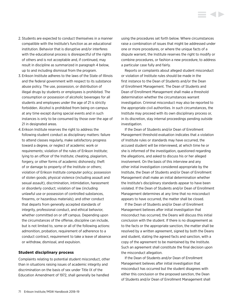- 2. Students are expected to conduct themselves in a manner compatible with the Institute's function as an educational institution. Behavior that is disruptive and/or interferes with the educational process is disrespectful of the rights of others and is not acceptable and, if continued, may result in discipline as summarized in paragraph 4 below, up to and including dismissal from the program.
- 3. Erikson Institute adheres to the laws of the State of Illinois and the federal government with respect to its substance abuse policy. The use, possession, or distribution of illegal drugs by students or employees is prohibited. The consumption or possession of alcoholic beverages for all students and employees under the age of 21 is strictly forbidden. Alcohol is prohibited from being on-campus at any time except during special events and in such instances is only to be consumed by those over the age of 21 in designated areas.
- 4. Erikson Institute reserves the right to address the following student conduct as disciplinary matters: failure to attend classes regularly, make satisfactory progress toward a degree, or neglect of academic work or requirements; violation of the rules of Erikson Institute; lying to an officer of the Institute; cheating, plagiarism, forgery, or other forms of academic dishonesty; theft of or damage to property of the Institute or others; violation of Erikson Institute computer policy; possession of stolen goods; physical violence (including assault and sexual assault), discrimination, intimidation, harassment or disorderly conduct; violation of law (including unlawful use or possession of controlled substances, firearms, or hazardous materials); and other conduct that departs from generally accepted standards of integrity, professional conduct, and ethical behavior, whether committed on or off campus. Depending upon the circumstances of the offense, discipline can include, but is not limited to, some or all of the following actions: admonition, probation, requirement of adherence to a conduct contract, requirement to take a leave of absence or withdraw, dismissal, and expulsion.

#### **Student disciplinary process**

Complaints relating to potential student misconduct, other than in situations raising issues of academic integrity and discrimination on the basis of sex under Title IX of the Education Amendment of 1972, shall generally be handled

using the procedures set forth below. Where circumstances raise a combination of issues that might be addressed under one or more procedures, or where the unique facts of a dispute warrant, the Institute reserves the right to modify or combine procedures, or fashion a new procedure, to address a particular case fully and fairly.

**KID** 

Reports or complaints about alleged student misconduct or violation of Institute rules should be made in the first instance to the Dean of Students and/or the Dean of Enrollment Management. The Dean of Students and Dean of Enrollment Management shall make a threshold determination whether the circumstances warrant investigation. Criminal misconduct may also be reported to the appropriate civil authorities. In such circumstances, the Institute may proceed with its own disciplinary process or, in its discretion, stay internal proceedings pending outside investigation.

If the Dean of Students and/or Dean of Enrollment Management threshold evaluation indicates that a violation of Institute rules or standards may have occurred, the accused student will be interviewed, at which time he or she is informed of the investigation, questioned regarding the allegations, and asked to discuss his or her alleged involvement. On the basis of this interview and any other initial investigation considered appropriate by the Institute, the Dean of Students and/or Dean of Enrollment Management shall make an initial determination whether the Institute's disciplinary standards appear to have been violated. If the Dean of Students and/or Dean of Enrollment Management determines at any time that no misconduct appears to have occurred, the matter shall be closed.

If the Dean of Students and/or Dean of Enrollment Management believes after initial investigation that misconduct has occurred, the Deans will discuss this initial conclusion with the student. If there is no disagreement as to the facts or the appropriate sanction, the matter shall be resolved by a written agreement, signed by both the Deans and student, stating the agreed facts and sanction, with a copy of the agreement to be maintained by the Institute. Such an agreement shall constitute the final decision upon the misconduct allegation.

If the Dean of Students and/or Dean of Enrollment Management believes after initial investigation that misconduct has occurred but the student disagrees with either this conclusion or the proposed sanction, the Dean of Students and/or Dean of Enrollment Management shall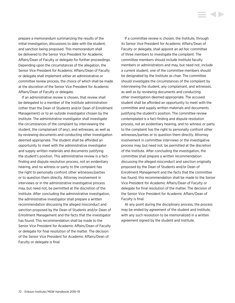prepare a memorandum summarizing the results of the initial investigation, discussions to date with the student, and sanction being proposed. This memorandum shall be delivered to the Senior Vice President for Academic Affairs/Dean of Faculty or delegate for further proceedings. Depending upon the circumstances of the allegation, the Senior Vice President for Academic Affairs/Dean of Faculty or delegate shall implement either an administrative or committee review process, the choice of which shall be made at the discretion of the Senior Vice President for Academic Affairs/Dean of Faculty or delegate.

If an administrative review is chosen, that review shall be delegated to a member of the Institute administration (other than the Dean of Students and/or Dean of Enrollment Management) or to an outside investigator chosen by the Institute. The administrative investigator shall investigate the circumstances of the complaint by interviewing the student, the complainant (if any), and witnesses, as well as by reviewing documents and conducting other investigation deemed appropriate. The student shall be afforded an opportunity to meet with the administrative investigator and supply written materials and documents justifying the student's position. This administrative review is a factfinding and dispute resolution process, not an evidentiary hearing, and no witness or party to the complaint has the right to personally confront other witnesses/parties or to question them directly. Attorney involvement in interviews or in the administrative investigative process may, but need not, be permitted at the discretion of the Institute. After concluding the administrative investigation, the administrative investigator shall prepare a written recommendation discussing the alleged misconduct and sanction proposed by the Dean of Students and/or Dean of Enrollment Management and the facts that the investigator has found. This recommendation shall be made to the Senior Vice President for Academic Affairs/Dean of Faculty or delegate for final resolution of the matter. The decision of the Senior Vice President for Academic Affairs/Dean of Faculty or delegate is final.

If a committee review is chosen, the Institute, through its Senior Vice President for Academic Affairs/Dean of Faculty or delegate, shall appoint an *ad hoc* committee of three members to investigate the complaint. The committee members should include Institute faculty members or administrators and may, but need not, include a current student; one of the committee members should be designated by the Institute as chair. The committee should investigate the circumstances of the complaint by interviewing the student, any complainant, and witnesses, as well as by reviewing documents and conducting other investigation deemed appropriate. The accused student shall be afforded an opportunity to meet with the committee and supply written materials and documents justifying the student's position. The committee review contemplated is a fact-finding and dispute resolution process, not an evidentiary hearing, and no witness or party to the complaint has the right to personally confront other witnesses/parties or to question them directly. Attorney involvement in committee interviews or the investigative process may, but need not, be permitted at the discretion of the Institute. After concluding the investigation, the committee shall prepare a written recommendation discussing the alleged misconduct and sanction originally proposed by the Dean of Students and/or Dean of Enrollment Management and the facts that the committee has found; this recommendation shall be made to the Senior Vice President for Academic Affairs/Dean of Faculty or delegate for final resolution of the matter. The decision of the Senior Vice President for Academic Affairs/Dean of Faculty is final.

At any point during the disciplinary process, the process may be ended by agreement of the student and Institute, with any such resolution to be memorialized in a written agreement signed by the student and Institute.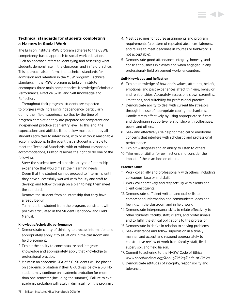# **Technical standards for students completing a Masters in Social Work**

The Erikson Institute MSW program adheres to the CSWE competency-based approach to social work education. Such an approach refers to identifying and assessing what students demonstrate in the classroom and in field practice. This approach also informs the technical standards for admission and retention in the MSW program. Technical standards in the MSW program at Erikson Institute encompass three main competencies: Knowledge/Scholastic Performance; Practice Skills; and Self Knowledge and Reflection.

Throughout their program, students are expected to progress with increasing independence, particularly during their field experience, so that by the time of program completion they are prepared for competent and independent practice at an entry level. To this end, the expectations and abilities listed below must be met by all students admitted to internships, with or without reasonable accommodations. In the event that a student is unable to meet the Technical Standards, with or without reasonable accommodations, Erikson reserves the right to do one of the following:

- $\cdot$  Steer the student toward a particular type of internship experience that would meet their learning needs
- Deem that the student cannot proceed to internship until they have successfully worked with faculty and staff to develop and follow through on a plan to help them meet the standards
- $\cdot$  Remove the student from an internship that they have already begun
- Terminate the student from the program, consistent with policies articulated in the Student Handbook and Field Manual.

#### **Knowledge/scholastic performance**

- 1. Demonstrate clarity of thinking to process information and appropriately apply it to situations in the classroom and field placement.
- 2. Exhibit the ability to conceptualize and integrate knowledge and appropriately apply that knowledge to professional practice.
- 3. Maintain an academic GPA of 3.0. Students will be placed on academic probation if their GPA drops below a 3.0. No student may continue on academic probation for more than one semester (including the summer). Failure to exit academic probation will result in dismissal from the program.
- 4. Meet deadlines for course assignments and program requirements (a pattern of repeated absences, lateness, and failure to meet deadlines in courses or fieldwork is not acceptable).
- 5. Demonstrate good attendance, integrity, honesty, and conscientiousness in classes and when engaged in any professional- field placement work/ encounters.

#### **Self-Knowledge and Reflection**

- 6. Exhibit knowledge of how one's values, attitudes, beliefs, emotional and past experiences affect thinking, behavior and relationships. Accurately assess one's own strengths, limitations, and suitability for professional practice.
- 7. Demonstrate ability to deal with current life stressors through the use of appropriate coping mechanisms. Handle stress effectively by using appropriate self-care and developing supportive relationship with colleagues, peers, and others.
- 8. Seek and effectively use help for medical or emotional concerns that interfere with scholastic and professional performance.
- 9. Exhibit willingness and an ability to listen to others.
- 10.Take responsibility for own actions and consider the impact of these actions on others.

### **Practice Skills**

- 11. Work collegially and professionally with others, including colleagues, faculty and staff.
- 12. Work collaboratively and respectfully with clients and client constituents.
- 13. Demonstrate sufficient written and oral skills to comprehend information and communicate ideas and feelings, in the classroom and in field work.
- 14.Demonstrate interpersonal skills to relate effectively to other students, faculty, staff, clients, and professionals and to fulfill the ethical obligations to the profession.
- 15. Demonstrate initiative in relation to solving problems.
- 16. Seek assistance and follow supervision in a timely manner, and accept and respond appropriately to constructive review of work from faculty, staff, field supervisor, and field liaison.
- 17. Commit to adhering to the NASW Code of Ethics *[www.socialworkers.org/About/Ethics/Code-of-Ethics](https://www.socialworkers.org/About/Ethics/Code-of-Ethics)*
- 18. Demonstrate attitudes of integrity, responsibility and tolerance.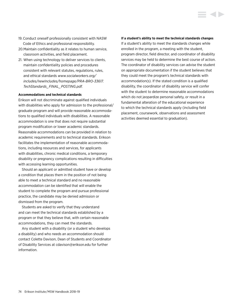- 19. Conduct oneself professionally consistent with NASW Code of Ethics and professional responsibility.
- 20.Maintain confidentiality as it relates to human service, classroom activities, and field placement.
- 21. When using technology to deliver services to clients, maintain confidentiality policies and procedures consistent with relevant statutes, regulations, rules, and ethical standards *[www.socialworkers.org/](https://www.socialworkers.org/includes/newIncludes/homepage/PRA-BRO-33617.TechStandards_FINAL_POSTING.pdf) [includes/newIncludes/homepage/PRA-BRO-33617.](https://www.socialworkers.org/includes/newIncludes/homepage/PRA-BRO-33617.TechStandards_FINAL_POSTING.pdf) [TechStandards\\_FINAL\\_POSTING.pdf](https://www.socialworkers.org/includes/newIncludes/homepage/PRA-BRO-33617.TechStandards_FINAL_POSTING.pdf).*

#### **Accommodations and technical standards**

Erikson will not discriminate against qualified individuals with disabilities who apply for admission to the professional/ graduate program and will provide reasonable accommodations to qualified individuals with disabilities. A reasonable accommodation is one that does not require substantial program modification or lower academic standards. Reasonable accommodations can be provided in relation to academic requirements and to technical standards. Erikson facilitates the implementation of reasonable accommodations, including resources and services, for applicants with disabilities, chronic medical conditions, a temporary disability or pregnancy complications resulting in difficulties with accessing learning opportunities.

Should an applicant or admitted student have or develop a condition that places them in the position of not being able to meet a technical standard and no reasonable accommodation can be identified that will enable the student to complete the program and pursue professional practice, the candidate may be denied admission or dismissed from the program.

Students are asked to verify that they understand and can meet the technical standards established by a program or that they believe that, with certain reasonable accommodations, they can meet the standards.

Any student with a disability (or a student who develops a disability) and who needs an accommodation should contact Colette Davison, Dean of Students and Coordinator of Disability Services at [cdavison@erikson.edu](mailto:cdavison%40erikson.edu?subject=) for further information.

#### **If a student's ability to meet the technical standards changes**

If a student's ability to meet the standards changes while enrolled in the program, a meeting with the student, program director, field director, and coordinator of disability services may be held to determine the best course of action. The coordinator of disability services can advise the student on appropriate documentation if the student believes that they could meet the program's technical standards with accommodation(s). If the stated condition is a qualified disability, the coordinator of disability service will confer with the student to determine reasonable accommodations which do not jeopardize personal safety, or result in a fundamental alteration of the educational experience to which the technical standards apply (including field placement, coursework, observations and assessment activities deemed essential to graduation).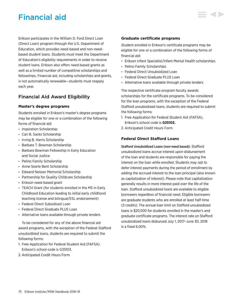# Financial aid

Erikson participates in the William D. Ford Direct Loan (Direct Loan) program through the U.S. Department of Education, which provides need-based and non-needbased student loans. Students must meet the Department of Education's eligibility requirements in order to receive student loans. Erikson also offers need-based grants as well as a limited number of competitive scholarships and fellowships. Financial aid, including scholarships and grants, is not automatically renewable—students must reapply each year.

# Financial Aid Award Eligibility

## **Master's degree programs**

Students enrolled in Erikson's master's degree programs may be eligible for one or a combination of the following forms of financial aid:

- Inspiration Scholarship
- Cari B. Sacks Scholarship
- Irving B. Harris Scholarship
- Barbara T. Bowman Scholarship
- Barbara Bowman Fellowship in Early Education and Social Justice
- Pelino Family Scholarship
- Anne Searle Bent Scholarship
- Edward Neisser Memorial Scholarship
- Partnership for Quality Childcare Scholarship
- Erikson need-based grant
- TEACH Grant (for students enrolled in the MS in Early Childhood Education leading to initial early childhood teaching license and bilingual/ESL endorsement)
- Federal Direct Subsidized Loan
- Federal Direct Graduate PLUS Loan
- Alternative loans available through private lenders

To be considered for any of the above financial aid award programs, with the exception of the Federal Stafford unsubsidized loans, students are required to submit the following forms:

- 1. Free Application for Federal Student Aid (FAFSA). Erikson's school code is G35103.
- 2. Anticipated Credit Hours Form

## **Graduate certificate programs**

Student enrolled in Erikson's certificate programs may be eligible for one or a combination of the following forms of financial aid:

- Erikson Infant Specialist/Infant Mental Health scholarships
- Pelino Family Scholarships
- Federal Direct Unsubsidized Loan
- Federal Direct Graduate PLUS Loan
- Alternative loans available through private lenders

The respective certificate program faculty awards scholarships for the certificate programs. To be considered for the loan programs, with the exception of the Federal Stafford unsubsidized loans, students are required to submit the following forms:

- 1. Free Application for Federal Student Aid (FAFSA). Erikson's school code is **G35103.**
- 2. Anticipated Credit Hours Form

## **Federal Direct Stafford Loans**

Stafford Unsubsidized Loans (non-need based): Stafford unsubsidized loans accrue interest upon disbursement of the loan and students are responsible for paying the interest on the loan while enrolled. Students may opt to defer interest payments during the period of enrollment by adding the accrued interest to the loan principal (also known as capitalization of interest). Please note that capitalization generally results in more interest paid over the life of the loan. Stafford unsubsidized loans are available to eligible borrowers regardless of financial need. Eligible borrowers are graduate students who are enrolled at least half-time (3 credits). The annual loan limit on Stafford unsubsidized loans is \$20,500 for students enrolled in the master's and graduate certificate programs. The interest rate on Stafford unsubsidized loans disbursed July 1, 2017–June 30, 2018 is a fixed 6.00%.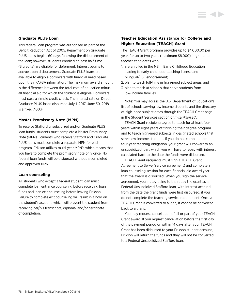#### **Graduate PLUS Loan**

This federal loan program was authorized as part of the Deficit Reduction Act of 2005. Repayment on Graduate PLUS loans begins 60 days following the disbursement of the loan; however, students enrolled at least half-time (3 credits) are eligible for deferment. Interest begins to accrue upon disbursement. Graduate PLUS loans are available to eligible borrowers with financial need based upon their FAFSA information. The maximum award amount is the difference between the total cost of education minus all financial aid for which the student is eligible. Borrowers must pass a simple credit check. The interest rate on Direct Graduate PLUS loans disbursed July 1, 2017–June 30, 2018 is a fixed 7.00%.

#### **Master Promissory Note (MPN)**

To receive Stafford unsubsidized and/or Graduate PLUS loan funds, students must complete a Master Promissory Note (MPN). Students who receive Stafford and Graduate PLUS loans must complete a separate MPN for each program. Erikson utilizes multi-year MPN's which means that you have to complete the promissory note only once. No federal loan funds will be disbursed without a completed and approved MPN.

#### **Loan counseling**

All students who accept a federal student loan must complete loan entrance counseling before receiving loan funds and loan exit counseling before leaving Erikson. Failure to complete exit counseling will result in a hold on the student's account, which will prevent the student from receiving her/his transcripts, diploma, and/or certificate of completion.

## **Teacher Education Assistance for College and Higher Education (TEACH) Grant**

The TEACH Grant program provides up to \$4,000.00 per year, for up to two years (maximum \$8,000) in grants to teacher candidates who:

- 1. are enrolled in the MS in Early Childhood Education leading to early childhood teaching license and bilingual/ESL endorsement;
- 2. plan to teach full-time in high-need subject areas; and
- 3. plan to teach at schools that serve students from low-income families.

Note: You may access the U.S. Department of Education's list of schools serving low income students and the directory of high-need subject areas through the TEACH Grant page in the Student Services section of *[my.erikson.edu](http://my.erikson.edu)*.

TEACH Grant recipients agree to teach for at least four years within eight years of finishing their degree program and to teach high-need subjects in designated schools that serve low-income students. If you do not complete the four-year teaching obligation, your grant will convert to an unsubsidized loan, which you will have to repay with interest calculated back to the date the funds were disbursed.

TEACH Grant recipients must sign a TEACH Grant Agreement to Serve (service agreement) and complete a loan counseling session for each financial aid award year that the award is disbursed. When you sign the service agreement, you are agreeing to the repay the grant as a Federal Unsubsidized Stafford loan, with interest accrued from the date the grant funds were first disbursed, if you do not complete the teaching service requirement. Once a TEACH Grant is converted to a loan, it cannot be converted back to a grant.

You may request cancellation of all or part of your TEACH Grant award. If you request cancellation before the first day of the payment period or within 14 days after your TEACH Grant has been disbursed to your Erikson student account, Erikson will return the funds and they will not be converted to a Federal Unsubsidized Stafford loan.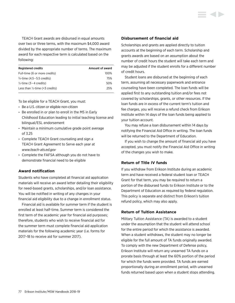TEACH Grant awards are disbursed in equal amounts over two or three terms, with the maximum \$4,000 award divided by the appropriate number of terms. The maximum award for each respective term is calculated based on the following:

| <b>Registered credits</b>                  | Amount of award |
|--------------------------------------------|-----------------|
| Full-time (6 or more credits)              | 100%            |
| $\frac{3}{4}$ -time (4.5 – 5.5 credits)    | 75%             |
| $\frac{1}{2}$ -time (3 – 4 credits)        | 50%             |
| Less than $\frac{1}{2}$ -time (<3 credits) | 25%             |

To be eligible for a TEACH Grant, you must:

- Be a U.S. citizen or eligible non-citizen
- Be enrolled in or plan to enroll in the MS in Early Childhood Education leading to initial teaching license and bilingual/ESL endorsement
- Maintain a minimum cumulative grade point average of 3.25
- Complete TEACH Grant counseling and sign a TEACH Grant Agreement to Serve each year at *<www.teach-ats.ed.gov>*
- Complete the FAFSA although you do not have to demonstrate financial need to be eligible

### **Award notification**

Students who have completed all financial aid application materials will receive an award letter detailing their eligibility for need-based grants, scholarships, and/or loan assistance. You will be notified in writing of any changes in your financial aid eligibility due to a change in enrollment status.

Financial aid is available for summer term if the student is enrolled at least half-time. Summer term is considered the first term of the academic year for financial aid purposes; therefore, students who wish to receive financial aid for the summer term must complete financial aid application materials for the following academic year (i.e. forms for 2017–18 to receive aid for summer 2017).

## **Disbursement of financial aid**

Scholarships and grants are applied directly to tuition accounts at the beginning of each term. Scholarship and grants awards are based on an assumption about the number of credit hours the student will take each term and may be adjusted if the student enrolls for a different number of credit hours.

Student loans are disbursed at the beginning of each term, assuming all necessary paperwork and entrance counseling have been completed. The loan funds will be applied first to any outstanding tuition and/or fees not covered by scholarships, grants, or other resources. If the loan funds are in excess of the current term's tuition and fee charges, you will receive a refund check from Erikson Institute within 14 days of the loan funds being applied to your tuition account.

You may refuse a loan disbursement within 14 days by notifying the Financial Aid Office in writing. The loan funds will be returned to the Department of Education.

If you wish to change the amount of financial aid you have accepted, you must notify the Financial Aid Office in writing of the changes you wish to make.

### **Return of Title IV funds**

If you withdraw from Erikson Institute during an academic term and have received a federal student loan or TEACH Grant for that term, you may be required to return a portion of the disbursed funds to Erikson Institute or to the Department of Education as required by federal regulation. This policy is separate and distinct from Erikson's tuition refund policy, which may also apply.

### **Return of Tuition Assistance**

Military Tuition Assistance (TA) is awarded to a student under the assumption that the student will attend school for the entire period for which the assistance is awarded. When a student withdraws, the student may no longer be eligible for the full amount of TA funds originally awarded. To comply with the new Department of Defense policy, Erikson Institute will return any unearned TA funds on a prorate basis through at least the 60% portion of the period for which the funds were provided. TA funds are earned proportionally during an enrollment period, with unearned funds returned based upon when a student stops attending.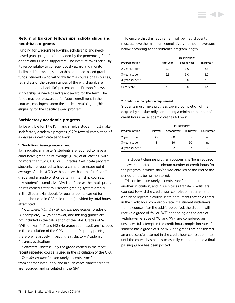## **Return of Erikson fellowships, scholarships and need-based grants**

Funding for Erikson's fellowship, scholarship and needbased grant programs is provided by the generous gifts of donors and Erikson supporters. The Institute takes seriously its responsibility to conscientiously award and monitor its limited fellowship, scholarship and need-based grant funds. Students who withdraw from a course or all courses, regardless of the circumstances of the withdrawal, are required to pay back 100 percent of the Erikson fellowship, scholarship or need-based grant award for the term. The funds may be re-awarded for future enrollment in the courses, contingent upon the student retaining her/his eligibility for the specific award program.

#### **Satisfactory academic progress**

To be eligible for Title IV financial aid, a student must make satisfactory academic progress (SAP) toward completion of a degree or certificate as follows:

#### 1. Grade Point Average requirement

To graduate, all master's students are required to have a cumulative grade point average (GPA) of at least 3.0 with no more than two C+, C, or C− grades. Certificate program students are required to have a cumulative grade point average of at least 3.0 with no more than one C+, C, or C− grade, and a grade of B or better in internship courses.

A student's cumulative GPA is defined as the total quality points earned (refer to Erikson's grading system details in the Student Handbook for quality points earned for grades included in GPA calculations) divided by total hours attempted.

*Incomplete, Withdrawal, and missing grades:* Grades of I (Incomplete), W (Withdrawal) and missing grades are not included in the calculation of the GPA. Grades of WF (Withdrawal, fail) and NG (No grade submitted) are included in the calculation of the GPA and earn 0 quality points, therefore negatively impacting Satisfactory Academic Progress evaluations.

*Repeated Courses:* Only the grade earned in the most recent repeated course is used in the calculation of the GPA.

*Transfer credits:* Erikson rarely accepts transfer credits from another institution, and in such cases transfer credits are recorded and calculated in the GPA.

To ensure that this requirement will be met, students must achieve the minimum cumulative grade point averages below according to the student's program length:

|                       | By the end of |             |            |  |
|-----------------------|---------------|-------------|------------|--|
| <b>Program option</b> | First year    | Second year | Third year |  |
| 2-year student        | 3.0           | 3.0         | na         |  |
| 3-year student        | 2.5           | 3.0         | 3.0        |  |
| 4-year student        | 2.5           | 3.0         | 3.0        |  |
| Certificate           | 3.0           | 3.0         | na         |  |

#### 2. Credit hour completion requirement

Students must make progress toward completion of the degree by satisfactorily completing a minimum number of credit hours per academic year as follows:

|                       | By the end of |             |            |             |
|-----------------------|---------------|-------------|------------|-------------|
| <b>Program option</b> | First year    | Second year | Third vear | Fourth year |
| 2-year student        | 30            | 60          | na         | na          |
| 3-year student        | 18            | 36          | 60         | na          |
| 4-year student        | 12            | 22          | 37         | 60          |

If a student changes program options, she/he is required to have completed the minimum number of credit hours for the program in which she/he was enrolled at the end of the period that is being monitored.

Erikson Institute rarely accepts transfer credits from another institution, and in such cases transfer credits are counted toward the credit hour completion requirement. If a student repeats a course, both enrollments are calculated in the credit hour completion rate. If a student withdraws from a course after the add/drop period, the student will receive a grade of 'W' or 'WF' depending on the date of withdrawal. Grades of 'W' and 'WF' are considered an unsuccessful attempt in the credit hour completion rate. If a student has a grade of 'I' or 'NG', the grades are considered an unsuccessful attempt in the credit hour completion rate until the course has been successfully completed and a final passing grade has been posted.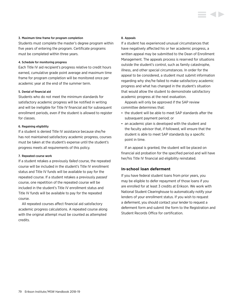#### 3. Maximum time frame for program completion

Students must complete the master's degree program within five years of entering the program. Certificate programs must be completed within three years.

#### 4. Schedule for monitoring progress

Each Title IV aid recipient's progress relative to credit hours earned, cumulative grade point average and maximum time frame for program completion will be monitored once per academic year at the end of the summer term.

#### 5. Denial of financial aid

Students who do not meet the minimum standards for satisfactory academic progress will be notified in writing and will be ineligible for Title IV financial aid for subsequent enrollment periods, even if the student is allowed to register for classes.

#### 6. Regaining eligibility

If a student is denied Title IV assistance because she/he has not maintained satisfactory academic progress, courses must be taken at the student's expense until the student's progress meets all requirements of this policy.

#### 7. Repeated course work

If a student retakes a previously *failed* course, the repeated course will be included in the student's Title IV enrollment status and Title IV funds will be available to pay for the repeated course. If a student retakes a previously *passed* course, one repetition of the repeated course will be included in the student's Title IV enrollment status and Title IV funds will be available to pay for the repeated course.

All repeated courses affect financial aid satisfactory academic progress calculations. A repeated course along with the original attempt must be counted as attempted credits.

#### 8. Appeals

If a student has experienced unusual circumstances that have negatively affected his or her academic progress, a written appeal may be submitted to the Dean of Enrollment Management. The appeals process is reserved for situations outside the student's control, such as family catastrophe, illness, and other special circumstances. In order for the appeal to be considered, a student must submit information regarding why she/he failed to make satisfactory academic progress and what has changed in the student's situation that would allow the student to demonstrate satisfactory academic progress at the next evaluation.

Appeals will only be approved if the SAP review committee determines that:

- the student will be able to meet SAP standards after the subsequent payment period; or
- an academic plan is developed with the student and the faculty advisor that, if followed, will ensure that the student is able to meet SAP standards by a specific point in time.

If an appeal is granted, the student will be placed on financial aid probation for the specified period and will have her/his Title IV financial aid eligibility reinstated.

#### **In-school loan deferment**

If you have federal student loans from prior years, you may be eligible to defer repayment of those loans if you are enrolled for at least 3 credits at Erikson. We work with National Student Clearinghouse to automatically notify your lenders of your enrollment status. If you wish to request a deferment, you should contact your lender to request a deferment form and submit the form to the Registration and Student Records Office for certification.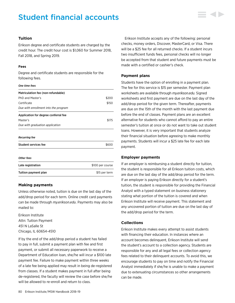# Student financial accounts



## **Tuition**

Erikson degree and certificate students are charged by the credit hour. The credit hour cost is \$1,060 for Summer 2018, Fall 2018, and Spring 2019.

#### **Fees**

Degree and certificate students are responsible for the following fees.

#### *One time fees*

| Matriculation fee (non-refundable)   |                  |
|--------------------------------------|------------------|
| PhD and Master's                     | \$200            |
| Certificate                          | \$150            |
| Due with enrollment into the program |                  |
| Application for degree conferral fee |                  |
| Master's                             | \$175            |
| Due with graduation application      |                  |
| <b>Recurring fee</b>                 |                  |
| <b>Student services fee</b>          | \$600            |
| Other fees                           |                  |
| Late registration                    | \$100 per course |
|                                      |                  |

## **Making payments**

Unless otherwise noted, tuition is due on the last day of the add/drop period for each term. Online credit card payments can be made through *[my.erikson.edu](http://my.erikson.edu)*. Payments may also be mailed to:

Tuition payment plan by the state of the state of the state of the state of the state of the state of the state of the state of the state of the state of the state of the state of the state of the state of the state of the

Erikson Institute Attn: Tuition Payment 451 N LaSalle St Chicago, IL 60654-4510

If by the end of the add/drop period a student has failed to pay in full, submit a payment plan with fee and first payment, or submit all necessary paperwork to receive a Department of Education loan, she/he will incur a \$100 late payment fee. Failure to make payment within three weeks of a late fee being applied may result in being de-registered from classes. If a student makes payment in full after being de-registered, the faculty will review the case before she/he will be allowed to re-enroll and return to class.

Erikson Institute accepts any of the following: personal checks, money orders, Discover, MasterCard, or Visa. There will be a \$25 fee for all returned checks. If a student incurs two insufficient funds fees, personal checks will no longer be accepted from that student and future payments must be made with a certified or cashier's check.

## **Payment plans**

Students have the option of enrolling in a payment plan. The fee for this service is \$15 per semester. Payment plan worksheets are available through *[my.erikson.edu.](http://my.erikson.edu)* Signed worksheets and first payment are due on the last day of the add/drop period for the given term. Thereafter, payments are due on the 15th of the month with the last payment due before the end of classes. Payment plans are an excellent alternative for students who cannot afford to pay an entire semester's tuition at once or do not want to take out student loans. However, it is very important that students analyze their financial situation before agreeing to make monthly payments. Students will incur a \$25 late fee for each late payment.

### **Employer payments**

If an employer is reimbursing a student directly for tuition, the student is responsible for all Erikson tuition costs, which are due on the last day of the add/drop period for the term. If an employer is paying Erikson directly for a student's tuition, the student is responsible for providing the Financial Analyst with a typed statement on business stationery stating what portion of the tuition is covered and when Erikson Institute will receive payment. This statement and any uncovered portion of tuition are due on the last day of the add/drop period for the term.

### **Collections**

Erikson Institute makes every attempt to assist students with financing their education. In instances where an account becomes delinquent, Erikson Institute will send the student's account to a collection agency. Students are responsible for any and all legal fees or collection agency fees related to their delinquent accounts. To avoid this, we encourage students to pay on time and notify the Financial Analyst immediately if she/he is unable to make a payment due to extenuating circumstances so other arrangements can be made.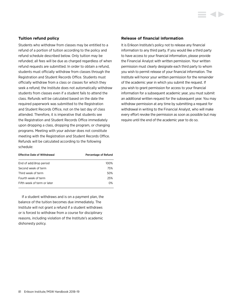### **Tuition refund policy**

Students who withdraw from classes may be entitled to a refund of a portion of tuition according to the policy and refund schedule described below. Only tuition may be refunded; all fees will be due as charged regardless of when refund requests are submitted. In order to obtain a refund, students must officially withdraw from classes through the Registration and Student Records Office. Students must officially withdraw from a class or classes for which they seek a refund; the Institute does not automatically withdraw students from classes even if a student fails to attend the class. Refunds will be calculated based on the date the required paperwork was submitted to the Registration and Student Records Office, not on the last day of class attended. Therefore, it is imperative that students see the Registration and Student Records Office immediately upon dropping a class, dropping the program, or changing programs. Meeting with your adviser does not constitute meeting with the Registration and Student Records Office. Refunds will be calculated according to the following schedule:

| <b>Effective Date of Withdrawal</b> | Percentage of Refund |
|-------------------------------------|----------------------|
| End of add/drop period              | 100%                 |
| Second week of term                 | 75%                  |
| Third week of term                  | 50%                  |
| Fourth week of term                 | 25%                  |
| Fifth week of term or later         | 0%                   |

If a student withdraws and is on a payment plan, the balance of the tuition becomes due immediately. The Institute will not grant a refund if a student withdraws or is forced to withdraw from a course for disciplinary reasons, including violation of the Institute's academic dishonesty policy.

#### **Release of financial information**

It is Erikson Institute's policy not to release any financial information to any third party. If you would like a third party to have access to your financial information, please provide the Financial Analyst with written permission. Your written permission must clearly designate each third party to whom you wish to permit release of your financial information. The Institute will honor your written permission for the remainder of the academic year in which you submit the request. If you wish to grant permission for access to your financial information for a subsequent academic year, you must submit an additional written request for the subsequent year. You may withdraw permission at any time by submitting a request for withdrawal in writing to the Financial Analyst, who will make every effort revoke the permission as soon as possible but may require until the end of the academic year to do so.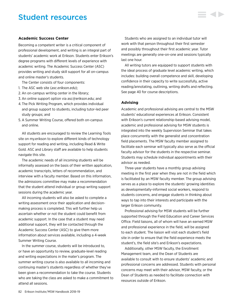# Student resources

#### **Academic Success Center**

Becoming a competent writer is a critical component of professional development, and writing is an integral part of students' academic work at Erikson. Students enter Erikson's degree programs with different levels of experience with academic writing. The Academic Success Center (ASC) provides writing and study skill support for all on-campus and online master's students.

The Center consists of four components:

- 1. The ASC web site (*[asc.erikson.edu](http://asc.erikson.edu)*);
- 2. An on-campus writing center in the library;
- 3. An online support option via [asc@erikson.edu](mailto:asc%40erikson.edu?subject=); and
- 4. The Pick Writing Program, which provides individual and group support to students, including tutor-led peer study groups; and
- 5. A Summer Writing Course, offered both on-campus and online.

All students are encouraged to review the Learning Tools site on my.erikson to explore different kinds of technology support for reading and writing, including Read & Write Gold. ASC and Library staff are available to help students navigate this site.

The academic needs of all incoming students will be informally assessed on the basis of their written application, academic transcripts, letters of recommendation, and interview with a faculty member. Based on this information, the admissions committee may make a recommendation that the student attend individual or group writing support sessions during the academic year.

All incoming students will also be asked to complete a writing assessment once their application and decisionmaking process is completed. This will further help us ascertain whether or not the student could benefit from academic support. In the case that a student may need additional support, they will be contacted through the Academic Success Center (ASC) to give them more information about services available, including a 4-week Summer Writing Course.

In the summer course, students will be introduced to, or have an opportunity to review, graduate-level reading and writing expectations in the mater's program. The summer writing course is also available to all incoming and continuing master's students regardless of whether they've been given a recommendation to take the course. Students who are taking the class are asked to make a commitment to attend all sessions.

Students who are assigned to an individual tutor will work with that person throughout their first semester and possibly throughout their first academic year. Tutor meetings are generally one-on-one and sessions typically last one hour.

All writing tutors are equipped to support students with the ideal process of graduate level academic writing, which includes: building overall competence and skill, developing confidence in their capacity to write successfully, active reading/annotating, outlining, writing drafts and reflecting. [See page 40 for course descriptions.](#page-40-0)

#### **Advising**

Academic and professional advising are central to the MSW students' educational experiences at Erikson. Consistent with Erikson's current relationship-based advising model, academic and professional advising for MSW students is integrated into the weekly Supervision Seminar that takes place concurrently with the generalist and concentration field placements. The MSW faculty member assigned to facilitate each seminar will typically also serve as the official faculty advisor for the students in the respective seminar. Students may schedule individual appointments with their advisor as needed.

Three-year students have a monthly group advising meeting in the first year when they are not in the field which is facilitated by an MSW faculty member. The group advising serves as a place to explore the students' growing identities as developmentally-informed social workers, respond to students concerns, and engage students in thinking about ways to tap into their interests and participate with the larger Erikson community.

Professional advising for MSW students will be further supported through the Field Education and Career Services Office. Field liaisons, all of whom will have an earned MSW and professional experience in the field, will be assigned to each student. The liaison will visit each student's field site in order to ensure that the field experience meets the student's, the field site's and Erikson's expectations.

Additionally, other MSW faculty, the Enrollment Management team, and the Dean of Students are available to consult with to ensure students' academic and professional concerns are addressed. Students with personal concerns may meet with their advisor, MSW faculty, or the Dean of Students as needed to facilitate connection with resources outside of Erikson.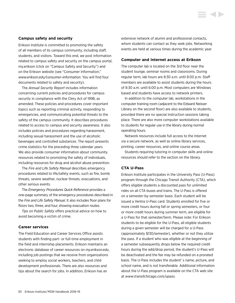#### **Campus safety and security**

Erikson Institute is committed to promoting the safety of all members of its campus community, including staff, students, and visitors. Toward this end, we post information related to campus safety and security on the campus portal, my.erikson (click on "Campus Safety and Security") and on the Erikson website (see "Consumer Information," *[www.erikson.edu/consumer-information](http://www.erikson.edu/consumer-information)*. You will find four documents related to safety and security).

The *Annual Security Report* includes information concerning current policies and procedures for campus security in compliance with the Clery Act of 1998, as amended. These policies and procedures cover important topics such as reporting criminal activity, responding to emergencies, and communicating potential threats to the safety of the campus community. It describes procedures related to access to campus and security awareness. It also includes policies and procedures regarding harassment, including sexual harassment and the use of alcoholic beverages and controlled substances. The report presents crime statistics for the preceding three calendar years. We also provide consumer information about community resources related to promoting the safety of individuals, including resources for drug and alcohol abuse prevention.

The *Fire and Life Safety Manual* describes emergency procedures related to life/safety events, such as fire, bomb threats, severe weather, nuclear threats, evacuations, and other serious events.

The *Emergency Procedures Quick Reference* provides a one-page summary of the emergency procedures described in the *Fire and Life Safety Manual.* It also includes floor plans for floors two, three, and four, showing evacuation routes.

*Tips on Public Safety* offers practical advice on how to avoid becoming a victim of crime.

#### **Career services**

The Field Education and Career Services Office assists students with finding part- or full-time employment in the field and internship placements. Erikson maintains an electronic database of career resources on *my.erikson.edu*, including job postings that we receive from organizations seeking to employ social workers, teachers, and child development professionals. There are also resources and tips about the search for jobs. In addition, Erikson has an

extensive network of alumni and professional contacts, whom students can contact as they seek jobs. Networking events are held at various times during the academic year.

#### **Computer and Internet access at Erikson**

The computer lab is located on the 3rd floor near the student lounge, seminar rooms and classrooms. During regular term, lab hours are 8:30 a.m. until 8:00 p.m. Staff members are available to assist students during the hours of 8:30 a.m. until 6:00 p.m. Most computers are Windows based and students have access to network printers.

In addition to the computer lab, workstations in the computer training room (adjacent to the Edward Neisser Library on the second floor) are also available to students, provided there are no special instruction sessions taking place. There are also more computer workstations available to students for regular use in the library during normal operating hours.

Network resources include full access to the Internet via a secure network, as well as online library services, printing, career resources, and online course areas.

Students requiring tutoring in computer skills and online resources should refer to the section on the library.

#### **CTA U-Pass**

Erikson Institute participates in the University Pass (U-Pass) program through the Chicago Transit Authority (CTA), which offers eligible students a discounted pass for unlimited rides on all CTA buses and trains. The U-Pass is offered on a semester-by-semester basis. Each student will be issued a Ventra U-Pass card. Students enrolled for five or more credit hours during fall or spring semesters, or four or more credit hours during summer term, are eligible for a U-Pass for that semester/term. Please note: For Erikson students to be eligible for the U-Pass, all eligible students during a given semester will be charged for a U-Pass (approximately \$130/semester), whether or not they utilize the pass. If a student who was eligible at the beginning of a semester subsequently drops below the required credit hours during the add/drop period, the student's U-Pass will be deactivated and the fee may be refunded on a prorated basis. The U-Pass includes the student' s name, picture, and school name, and is not transferable. Additional information about the U-Pass program is available on the CTA web site at *[www.transitchicago.com/upass](http://www.transitchicago.com/upass)*.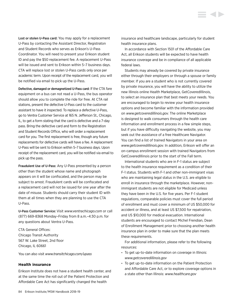Lost or stolen U-Pass card: You may apply for a replacement U-Pass by contacting the Assistant Director, Registraton and Student Records who serves as Erikson's U-Pass Coordinator. You will need to present your Erikson student ID and pay the \$50 replacement fee. A replacement U-Pass will be issued and sent to Erikson within 5–7 business days. CTA will replace lost or stolen U-Pass cards only once per academic term. Upon receipt of the replacement card, you will be notified via email to pick up the U-Pass.

Defective, damaged or demagnetized U-Pass card: If the CTA fare equipment on a bus can not read a U-Pass, the bus operator should allow you to complete the ride for free. At CTA rail stations, present the defective U-Pass card to the customer assistant to have it inspected. To replace a defective U-Pass, go to Ventra Customer Service at 165 N. Jefferson St., Chicago, IL, to get a form stating that the card is defective and a 7-day pass. Bring the defective card and form to the Registration and Student Records Office, who will order a replacement card for you. The first replacement is free, though any future replacements for defective cards will have a fee. A replacement U-Pass will be sent to Erikson within 5–7 business days. Upon receipt of the replacement card, you will be notified via email to pick up the pass.

Fraudulent Use of U-Pass: Any U-Pass presented by a person other than the student whose name and photograph appears on it will be confiscated, and the person may be subject to arrest. Fraudulent cards will be confiscated and a replacement card will not be issued for one year after the date of misuse. Students should carry their student ID with them at all times when they are planning to use the CTA U-Pass.

U-Pass Customer Service: Visit *[www.ventrachicago.com](http://www.ventrachicago.com)* or call (877) 669-8368 Monday–Friday from 8 a.m.–4:30 p.m. for any questions about Ventra U-Pass.

CTA General Offices: Chicago Transit Authority 567 W. Lake Street, 2nd floor Chicago, IL 60661

You can also visit *[www.transitchicago.com/upass](http://www.transitchicago.com/upass)*

#### **Health insurance**

Erikson Institute does not have a student health center, and at the same time the roll out of the Patient Protection and Affordable Care Act has significantly changed the health

insurance and healthcare landscape, particularly for student health insurance plans.

**SOF** 

In accordance with Section 1501 of the Affordable Care Act, all Erikson students will be expected to have health insurance coverage and be in compliance of all applicable federal laws.

Students may already be covered by private insurance either through their employers or through a spouse or family member. If you are a student who is not currently covered by private insurance, you will have the ability to utilize the new Illinois online Health Marketplace, GetCoveredIllinois, to select an insurance plan that best meets your needs. You are encouraged to begin to review your health insurance options and become familiar with the information provided on *[www.getcoveredillinois.gov.](www.getcoveredillinois.gov)* The online Marketplace is designed to walk consumers through the health care information and enrollment process in a few simple steps, but if you have difficulty navigating the website, you may seek out the assistance of a free Healthcare Navigator. You can find a list of trained Navigators in your area on *<www.getcoveredillinois.gov>.* In addition, Erikson will offer an on-campus enrollment session with trained Navigators from GetCoveredIllinois prior to the start of the Fall term.

International students who are in F-1 status are subject to the health insurance requirement as a condition of their F-1 status. Students with F-1 and other non-immigrant visas who are maintaining legal status in the U.S. are eligible to enroll in insurance through the marketplace. However, nonimmigrant students are not eligible for Medicaid unless they have been in the U.S. for five years. Per F-1 student regulations, comparable policies must cover the full period of enrollment and must cover a minimum of US \$50,000 for accident or illness, and at least US \$7,500 for repatriation, and US \$10,000 for medical evacuation. International students are encouraged to contact Michel Frendian, Dean of Enrollment Management prior to choosing another health insurance plan in order to make sure that the plan meets these requirements.

For additional information, please refer to the following resources:

- To get up-to-date information on coverage in Illinois: *<www.getcoveredillinois.gov>*
- To get up-to-date information on the Patient Protection and Affordable Care Act, or to explore coverage options in a state other than Illinois: *<www.healthcare.gov>*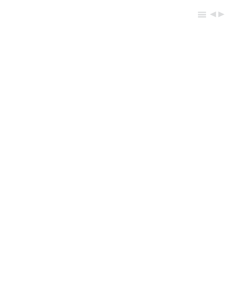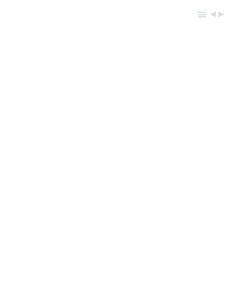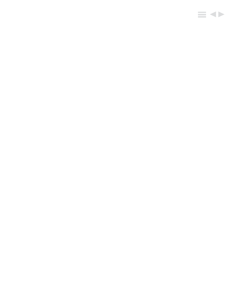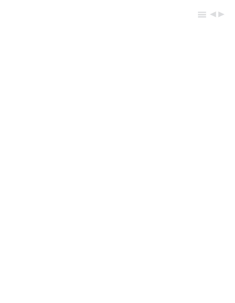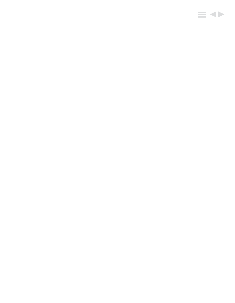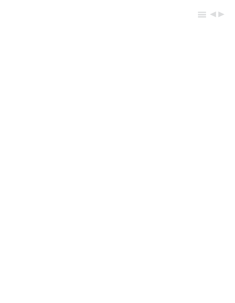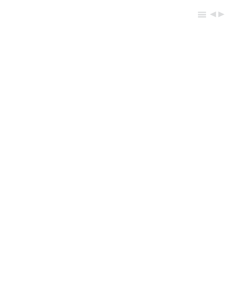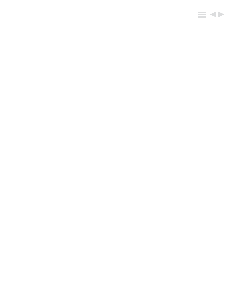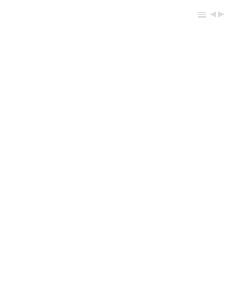